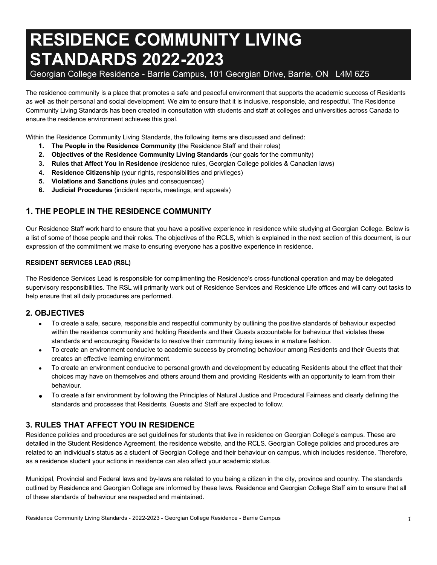# **RESIDENCE COMMUNITY LIVING STANDARDS 2022-2023**

## Georgian College Residence - Barrie Campus, 101 Georgian Drive, Barrie, ON L4M 6Z5

 The residence community is a place that promotes a safe and peaceful environment that supports the academic success of Residents as well as their personal and social development. We aim to ensure that it is inclusive, responsible, and respectful. The Residence Community Living Standards has been created in consultation with students and staff at colleges and universities across Canada to ensure the residence environment achieves this goal.

Within the Residence Community Living Standards, the following items are discussed and defined:

- **1. The People in the Residence Community** (the Residence Staff and their roles)
- **2. Objectives of the Residence Community Living Standards** (our goals for the community)
- **3. Rules that Affect You in Residence** (residence rules, Georgian College policies & Canadian laws)
- **4. Residence Citizenship** (your rights, responsibilities and privileges)
- **5. Violations and Sanctions** (rules and consequences)
- **6. Judicial Procedures** (incident reports, meetings, and appeals)

# **1. THE PEOPLE IN THE RESIDENCE COMMUNITY**

 Our Residence Staff work hard to ensure that you have a positive experience in residence while studying at Georgian College. Below is a list of some of those people and their roles. The objectives of the RCLS, which is explained in the next section of this document, is our expression of the commitment we make to ensuring everyone has a positive experience in residence.

### **RESIDENT SERVICES LEAD (RSL)**

 The Residence Services Lead is responsible for complimenting the Residence's cross-functional operation and may be delegated supervisory responsibilities. The RSL will primarily work out of Residence Services and Residence Life offices and will carry out tasks to help ensure that all daily procedures are performed.

## **2. OBJECTIVES**

- within the residence community and holding Residents and their Guests accountable for behaviour that violates these standards and encouraging Residents to resolve their community living issues in a mature fashion. • To create a safe, secure, responsible and respectful community by outlining the positive standards of behaviour expected
- creates an effective learning environment. • To create an environment conducive to academic success by promoting behaviour among Residents and their Guests that
- • To create an environment conducive to personal growth and development by educating Residents about the effect that their choices may have on themselves and others around them and providing Residents with an opportunity to learn from their behaviour.
- • To create a fair environment by following the Principles of Natural Justice and Procedural Fairness and clearly defining the standards and processes that Residents, Guests and Staff are expected to follow.

# **3. RULES THAT AFFECT YOU IN RESIDENCE**

 Residence policies and procedures are set guidelines for students that live in residence on Georgian College's campus. These are detailed in the Student Residence Agreement, the residence website, and the RCLS. Georgian College policies and procedures are related to an individual's status as a student of Georgian College and their behaviour on campus, which includes residence. Therefore, as a residence student your actions in residence can also affect your academic status.

 Municipal, Provincial and Federal laws and by-laws are related to you being a citizen in the city, province and country. The standards outlined by Residence and Georgian College are informed by these laws. Residence and Georgian College Staff aim to ensure that all of these standards of behaviour are respected and maintained.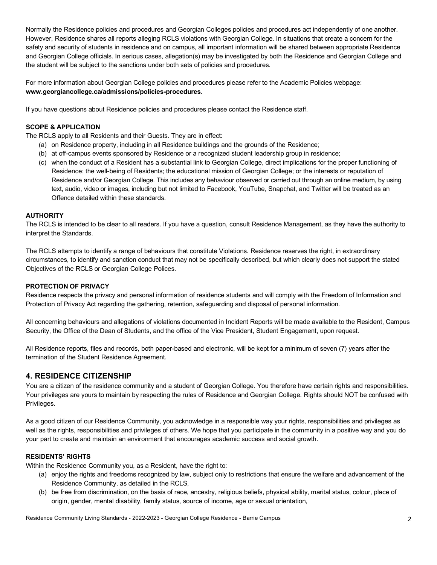Normally the Residence policies and procedures and Georgian Colleges policies and procedures act independently of one another. However, Residence shares all reports alleging RCLS violations with Georgian College. In situations that create a concern for the safety and security of students in residence and on campus, all important information will be shared between appropriate Residence and Georgian College officials. In serious cases, allegation(s) may be investigated by both the Residence and Georgian College and the student will be subject to the sanctions under both sets of policies and procedures.

 For more information about Georgian College policies and procedures please refer to the Academic Policies webpage: **<www.georgiancollege.ca/admissions/policies-procedures>**.

If you have questions about Residence policies and procedures please contact the Residence staff.

#### **SCOPE & APPLICATION**

The RCLS apply to all Residents and their Guests. They are in effect:

- (a) on Residence property, including in all Residence buildings and the grounds of the Residence;
- (b) at off-campus events sponsored by Residence or a recognized student leadership group in residence;
- (c) when the conduct of a Resident has a substantial link to Georgian College, direct implications for the proper functioning of Residence; the well-being of Residents; the educational mission of Georgian College; or the interests or reputation of Residence and/or Georgian College. This includes any behaviour observed or carried out through an online medium, by using text, audio, video or images, including but not limited to Facebook, YouTube, Snapchat, and Twitter will be treated as an Offence detailed within these standards.

#### **AUTHORITY**

 The RCLS is intended to be clear to all readers. If you have a question, consult Residence Management, as they have the authority to interpret the Standards.

 The RCLS attempts to identify a range of behaviours that constitute Violations. Residence reserves the right, in extraordinary circumstances, to identify and sanction conduct that may not be specifically described, but which clearly does not support the stated Objectives of the RCLS or Georgian College Polices.

#### **PROTECTION OF PRIVACY**

 Residence respects the privacy and personal information of residence students and will comply with the Freedom of Information and Protection of Privacy Act regarding the gathering, retention, safeguarding and disposal of personal information.

 All concerning behaviours and allegations of violations documented in Incident Reports will be made available to the Resident, Campus Security, the Office of the Dean of Students, and the office of the Vice President, Student Engagement, upon request.

 All Residence reports, files and records, both paper-based and electronic, will be kept for a minimum of seven (7) years after the termination of the Student Residence Agreement.

#### **4. RESIDENCE CITIZENSHIP**

 You are a citizen of the residence community and a student of Georgian College. You therefore have certain rights and responsibilities. Your privileges are yours to maintain by respecting the rules of Residence and Georgian College. Rights should NOT be confused with Privileges.

 As a good citizen of our Residence Community, you acknowledge in a responsible way your rights, responsibilities and privileges as well as the rights, responsibilities and privileges of others. We hope that you participate in the community in a positive way and you do your part to create and maintain an environment that encourages academic success and social growth.

#### **RESIDENTS' RIGHTS**

Within the Residence Community you, as a Resident, have the right to:

- (a) enjoy the rights and freedoms recognized by law, subject only to restrictions that ensure the welfare and advancement of the Residence Community, as detailed in the RCLS,
- (b) be free from discrimination, on the basis of race, ancestry, religious beliefs, physical ability, marital status, colour, place of origin, gender, mental disability, family status, source of income, age or sexual orientation,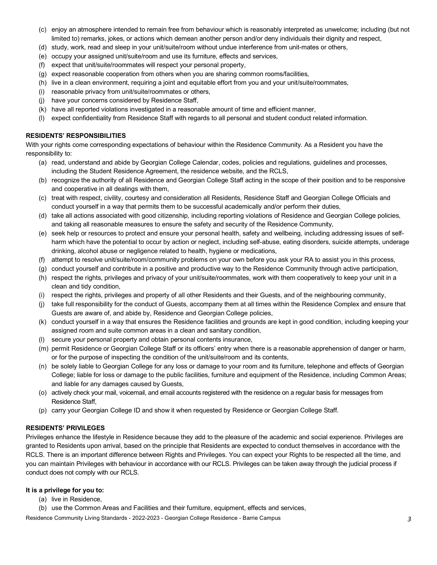- (c) enjoy an atmosphere intended to remain free from behaviour which is reasonably interpreted as unwelcome; including (but not limited to) remarks, jokes, or actions which demean another person and/or deny individuals their dignity and respect,
- (d) study, work, read and sleep in your unit/suite/room without undue interference from unit-mates or others,
- (e) occupy your assigned unit/suite/room and use its furniture, effects and services,
- (f) expect that unit/suite/roommates will respect your personal property,
- (g) expect reasonable cooperation from others when you are sharing common rooms/facilities,
- (h) live in a clean environment, requiring a joint and equitable effort from you and your unit/suite/roommates,
- (i) reasonable privacy from unit/suite/roommates or others,
- (j) have your concerns considered by Residence Staff,
- (k) have all reported violations investigated in a reasonable amount of time and efficient manner,
- (l) expect confidentiality from Residence Staff with regards to all personal and student conduct related information.

#### **RESIDENTS' RESPONSIBILITIES**

 With your rights come corresponding expectations of behaviour within the Residence Community. As a Resident you have the responsibility to:

- (a) read, understand and abide by Georgian College Calendar, codes, policies and regulations, guidelines and processes, including the Student Residence Agreement, the residence website, and the RCLS,
- (b) recognize the authority of all Residence and Georgian College Staff acting in the scope of their position and to be responsive and cooperative in all dealings with them,
- (c) treat with respect, civility, courtesy and consideration all Residents, Residence Staff and Georgian College Officials and conduct yourself in a way that permits them to be successful academically and/or perform their duties,
- (d) take all actions associated with good citizenship, including reporting violations of Residence and Georgian College policies, and taking all reasonable measures to ensure the safety and security of the Residence Community,
- (e) seek help or resources to protect and ensure your personal health, safety and wellbeing, including addressing issues of self- harm which have the potential to occur by action or neglect, including self-abuse, eating disorders, suicide attempts, underage drinking, alcohol abuse or negligence related to health, hygiene or medications,
- (f) attempt to resolve unit/suite/room/community problems on your own before you ask your RA to assist you in this process,
- (g) conduct yourself and contribute in a positive and productive way to the Residence Community through active participation,
- (h) respect the rights, privileges and privacy of your unit/suite/roommates, work with them cooperatively to keep your unit in a clean and tidy condition,
- (i) respect the rights, privileges and property of all other Residents and their Guests, and of the neighbouring community,
- (j) take full responsibility for the conduct of Guests, accompany them at all times within the Residence Complex and ensure that Guests are aware of, and abide by, Residence and Georgian College policies,
- (k) conduct yourself in a way that ensures the Residence facilities and grounds are kept in good condition, including keeping your assigned room and suite common areas in a clean and sanitary condition,
- (l) secure your personal property and obtain personal contents insurance,
- (m) permit Residence or Georgian College Staff or its officers' entry when there is a reasonable apprehension of danger or harm, or for the purpose of inspecting the condition of the unit/suite/room and its contents,
- (n) be solely liable to Georgian College for any loss or damage to your room and its furniture, telephone and effects of Georgian College; liable for loss or damage to the public facilities, furniture and equipment of the Residence, including Common Areas; and liable for any damages caused by Guests,
- (o) actively check your mail, voicemail, and email accounts registered with the residence on a regular basis for messages from Residence Staff,
- (p) carry your Georgian College ID and show it when requested by Residence or Georgian College Staff.

#### **RESIDENTS' PRIVILEGES**

 Privileges enhance the lifestyle in Residence because they add to the pleasure of the academic and social experience. Privileges are granted to Residents upon arrival, based on the principle that Residents are expected to conduct themselves in accordance with the RCLS. There is an important difference between Rights and Privileges. You can expect your Rights to be respected all the time, and you can maintain Privileges with behaviour in accordance with our RCLS. Privileges can be taken away through the judicial process if conduct does not comply with our RCLS.

#### **It is a privilege for you to:**

- (a) live in Residence,
- (b) use the Common Areas and Facilities and their furniture, equipment, effects and services,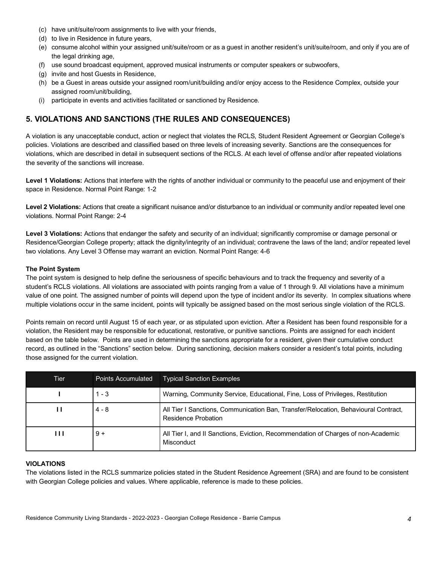- (c) have unit/suite/room assignments to live with your friends,
- (d) to live in Residence in future years,
- (e) consume alcohol within your assigned unit/suite/room or as a guest in another resident's unit/suite/room, and only if you are of the legal drinking age,
- (f) use sound broadcast equipment, approved musical instruments or computer speakers or subwoofers,
- (g) invite and host Guests in Residence,
- (h) be a Guest in areas outside your assigned room/unit/building and/or enjoy access to the Residence Complex, outside your assigned room/unit/building,
- (i) participate in events and activities facilitated or sanctioned by Residence.

# **5. VIOLATIONS AND SANCTIONS (THE RULES AND CONSEQUENCES)**

 A violation is any unacceptable conduct, action or neglect that violates the RCLS, Student Resident Agreement or Georgian College's policies. Violations are described and classified based on three levels of increasing severity. Sanctions are the consequences for violations, which are described in detail in subsequent sections of the RCLS. At each level of offense and/or after repeated violations the severity of the sanctions will increase.

Level 1 Violations: Actions that interfere with the rights of another individual or community to the peaceful use and enjoyment of their space in Residence. Normal Point Range: 1-2

Level 2 Violations: Actions that create a significant nuisance and/or disturbance to an individual or community and/or repeated level one violations. Normal Point Range: 2-4

Level 3 Violations: Actions that endanger the safety and security of an individual; significantly compromise or damage personal or Residence/Georgian College property; attack the dignity/integrity of an individual; contravene the laws of the land; and/or repeated level two violations. Any Level 3 Offense may warrant an eviction. Normal Point Range: 4-6

#### **The Point System**

 The point system is designed to help define the seriousness of specific behaviours and to track the frequency and severity of a student's RCLS violations. All violations are associated with points ranging from a value of 1 through 9. All violations have a minimum value of one point. The assigned number of points will depend upon the type of incident and/or its severity. In complex situations where multiple violations occur in the same incident, points will typically be assigned based on the most serious single violation of the RCLS.

 Points remain on record until August 15 of each year, or as stipulated upon eviction. After a Resident has been found responsible for a violation, the Resident may be responsible for educational, restorative, or punitive sanctions. Points are assigned for each incident based on the table below. Points are used in determining the sanctions appropriate for a resident, given their cumulative conduct record, as outlined in the "Sanctions" section below. During sanctioning, decision makers consider a resident's total points, including those assigned for the current violation.

| Tier           | <b>Points Accumulated</b> | <b>Typical Sanction Examples</b>                                                                           |
|----------------|---------------------------|------------------------------------------------------------------------------------------------------------|
|                | $1 - 3$                   | Warning, Community Service, Educational, Fine, Loss of Privileges, Restitution                             |
| ш              | $4 - 8$                   | All Tier I Sanctions, Communication Ban, Transfer/Relocation, Behavioural Contract,<br>Residence Probation |
| $\blacksquare$ | $9+$                      | All Tier I, and II Sanctions, Eviction, Recommendation of Charges of non-Academic<br>Misconduct            |

#### **VIOLATIONS**

 The violations listed in the RCLS summarize policies stated in the Student Residence Agreement (SRA) and are found to be consistent with Georgian College policies and values. Where applicable, reference is made to these policies.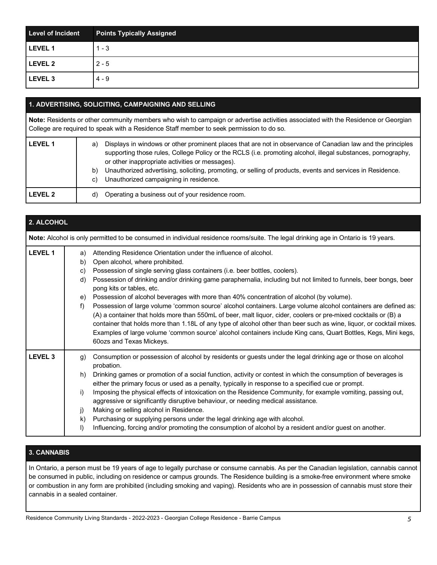| <b>Level of Incident</b> | <b>Points Typically Assigned</b> |
|--------------------------|----------------------------------|
| <b>LEVEL 1</b>           | $1 - 3$                          |
| <b>LEVEL 2</b>           | $2 - 5$                          |
| LEVEL 3                  | $4 - 9$                          |

### **1. ADVERTISING, SOLICITING, CAMPAIGNING AND SELLING**

 **Note:** Residents or other community members who wish to campaign or advertise activities associated with the Residence or Georgian College are required to speak with a Residence Staff member to seek permission to do so.

| <b>LEVEL 1</b> | a)<br>b)<br>C) | Displays in windows or other prominent places that are not in observance of Canadian law and the principles<br>supporting those rules, College Policy or the RCLS (i.e. promoting alcohol, illegal substances, pornography,<br>or other inappropriate activities or messages).<br>Unauthorized advertising, soliciting, promoting, or selling of products, events and services in Residence.<br>Unauthorized campaigning in residence. |
|----------------|----------------|----------------------------------------------------------------------------------------------------------------------------------------------------------------------------------------------------------------------------------------------------------------------------------------------------------------------------------------------------------------------------------------------------------------------------------------|
| <b>LEVEL 2</b> | d)             | Operating a business out of your residence room.                                                                                                                                                                                                                                                                                                                                                                                       |

| 2. ALCOHOL         |                                                                                                                                                                                                                                                                                                                                                                                                                                                                                                                                                                                                                                                                                                                                                                                                                                                                                                                                                                                |  |  |  |  |
|--------------------|--------------------------------------------------------------------------------------------------------------------------------------------------------------------------------------------------------------------------------------------------------------------------------------------------------------------------------------------------------------------------------------------------------------------------------------------------------------------------------------------------------------------------------------------------------------------------------------------------------------------------------------------------------------------------------------------------------------------------------------------------------------------------------------------------------------------------------------------------------------------------------------------------------------------------------------------------------------------------------|--|--|--|--|
|                    | Note: Alcohol is only permitted to be consumed in individual residence rooms/suite. The legal drinking age in Ontario is 19 years.                                                                                                                                                                                                                                                                                                                                                                                                                                                                                                                                                                                                                                                                                                                                                                                                                                             |  |  |  |  |
| <b>LEVEL 1</b>     | Attending Residence Orientation under the influence of alcohol.<br>a)<br>Open alcohol, where prohibited.<br>b)<br>Possession of single serving glass containers (i.e. beer bottles, coolers).<br>C)<br>Possession of drinking and/or drinking game paraphernalia, including but not limited to funnels, beer bongs, beer<br>d)<br>pong kits or tables, etc.<br>Possession of alcohol beverages with more than 40% concentration of alcohol (by volume).<br>e)<br>Possession of large volume 'common source' alcohol containers. Large volume alcohol containers are defined as:<br>f)<br>(A) a container that holds more than 550mL of beer, malt liquor, cider, coolers or pre-mixed cocktails or (B) a<br>container that holds more than 1.18L of any type of alcohol other than beer such as wine, liquor, or cocktail mixes.<br>Examples of large volume 'common source' alcohol containers include King cans, Quart Bottles, Kegs, Mini kegs,<br>60ozs and Texas Mickeys. |  |  |  |  |
| LEVEL <sub>3</sub> | Consumption or possession of alcohol by residents or guests under the legal drinking age or those on alcohol<br>g)<br>probation.<br>Drinking games or promotion of a social function, activity or contest in which the consumption of beverages is<br>h)<br>either the primary focus or used as a penalty, typically in response to a specified cue or prompt.<br>Imposing the physical effects of intoxication on the Residence Community, for example vomiting, passing out,<br>i)<br>aggressive or significantly disruptive behaviour, or needing medical assistance.<br>Making or selling alcohol in Residence.<br>j)<br>Purchasing or supplying persons under the legal drinking age with alcohol.<br>k)<br>Influencing, forcing and/or promoting the consumption of alcohol by a resident and/or guest on another.<br>$\vert$                                                                                                                                            |  |  |  |  |

## **3. CANNABIS**

 In Ontario, a person must be 19 years of age to legally purchase or consume cannabis. As per the Canadian legislation, cannabis cannot be consumed in public, including on residence or campus grounds. The Residence building is a smoke-free environment where smoke or combustion in any form are prohibited (including smoking and vaping). Residents who are in possession of cannabis must store their cannabis in a sealed container.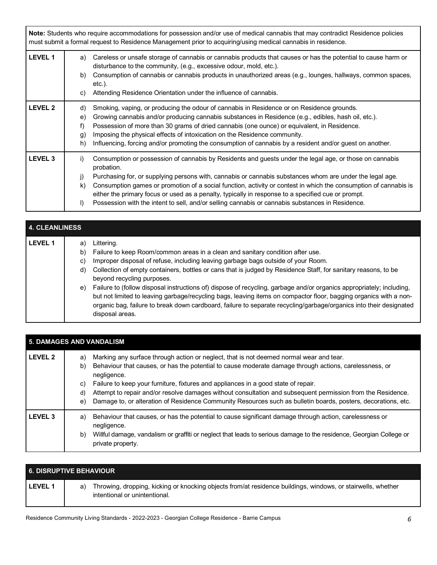**Note:** Students who require accommodations for possession and/or use of medical cannabis that may contradict Residence policies must submit a formal request to Residence Management prior to acquiring/using medical cannabis in residence.

| LEVEL 1        | Careless or unsafe storage of cannabis or cannabis products that causes or has the potential to cause harm or<br>a)<br>disturbance to the community, (e.g., excessive odour, mold, etc.).<br>Consumption of cannabis or cannabis products in unauthorized areas (e.g., lounges, hallways, common spaces,<br>b)<br>etc.).<br>Attending Residence Orientation under the influence of cannabis.<br>C)                                                                                                                                                                                      |
|----------------|-----------------------------------------------------------------------------------------------------------------------------------------------------------------------------------------------------------------------------------------------------------------------------------------------------------------------------------------------------------------------------------------------------------------------------------------------------------------------------------------------------------------------------------------------------------------------------------------|
| <b>LEVEL 2</b> | Smoking, vaping, or producing the odour of cannabis in Residence or on Residence grounds.<br>d)<br>Growing cannabis and/or producing cannabis substances in Residence (e.g., edibles, hash oil, etc.).<br>e)<br>Possession of more than 30 grams of dried cannabis (one ounce) or equivalent, in Residence.<br>f)<br>Imposing the physical effects of intoxication on the Residence community.<br>$\mathfrak{g}$<br>Influencing, forcing and/or promoting the consumption of cannabis by a resident and/or guest on another.<br>h)                                                      |
| <b>LEVEL 3</b> | Consumption or possession of cannabis by Residents and guests under the legal age, or those on cannabis<br>i)<br>probation.<br>Purchasing for, or supplying persons with, cannabis or cannabis substances whom are under the legal age.<br>j)<br>Consumption games or promotion of a social function, activity or contest in which the consumption of cannabis is<br>k)<br>either the primary focus or used as a penalty, typically in response to a specified cue or prompt.<br>Possession with the intent to sell, and/or selling cannabis or cannabis substances in Residence.<br>I) |

|                | <b>4. CLEANLINESS</b>      |                                                                                                                                                                                                                                                                                                                                                                                                                                                                                                                                                                                                                                                                                                      |  |  |  |
|----------------|----------------------------|------------------------------------------------------------------------------------------------------------------------------------------------------------------------------------------------------------------------------------------------------------------------------------------------------------------------------------------------------------------------------------------------------------------------------------------------------------------------------------------------------------------------------------------------------------------------------------------------------------------------------------------------------------------------------------------------------|--|--|--|
| <b>LEVEL 1</b> | a)<br>b)<br>C)<br>d)<br>e) | Littering.<br>Failure to keep Room/common areas in a clean and sanitary condition after use.<br>Improper disposal of refuse, including leaving garbage bags outside of your Room.<br>Collection of empty containers, bottles or cans that is judged by Residence Staff, for sanitary reasons, to be<br>beyond recycling purposes.<br>Failure to (follow disposal instructions of) dispose of recycling, garbage and/or organics appropriately; including,<br>but not limited to leaving garbage/recycling bags, leaving items on compactor floor, bagging organics with a non-<br>organic bag, failure to break down cardboard, failure to separate recycling/garbage/organics into their designated |  |  |  |
|                |                            | disposal areas.                                                                                                                                                                                                                                                                                                                                                                                                                                                                                                                                                                                                                                                                                      |  |  |  |

| <b>5. DAMAGES AND VANDALISM</b> |                                                                                                                                                                                                                                                                                                                                                                                                                                                                                                                                                                      |  |  |
|---------------------------------|----------------------------------------------------------------------------------------------------------------------------------------------------------------------------------------------------------------------------------------------------------------------------------------------------------------------------------------------------------------------------------------------------------------------------------------------------------------------------------------------------------------------------------------------------------------------|--|--|
| LEVEL 2                         | Marking any surface through action or neglect, that is not deemed normal wear and tear.<br>a)<br>Behaviour that causes, or has the potential to cause moderate damage through actions, carelessness, or<br>b)<br>negligence.<br>Failure to keep your furniture, fixtures and appliances in a good state of repair.<br>C)<br>Attempt to repair and/or resolve damages without consultation and subsequent permission from the Residence.<br>d)<br>Damage to, or alteration of Residence Community Resources such as bulletin boards, posters, decorations, etc.<br>e) |  |  |
| <b>LEVEL 3</b>                  | Behaviour that causes, or has the potential to cause significant damage through action, carelessness or<br>a)<br>negligence.<br>Willful damage, vandalism or graffiti or neglect that leads to serious damage to the residence, Georgian College or<br>b)<br>private property.                                                                                                                                                                                                                                                                                       |  |  |

| <b>6. DISRUPTIVE BEHAVIOUR</b> |                                                                                                                                                     |  |  |
|--------------------------------|-----------------------------------------------------------------------------------------------------------------------------------------------------|--|--|
| <b>LEVEL 1</b>                 | Throwing, dropping, kicking or knocking objects from/at residence buildings, windows, or stairwells, whether<br>a)<br>intentional or unintentional. |  |  |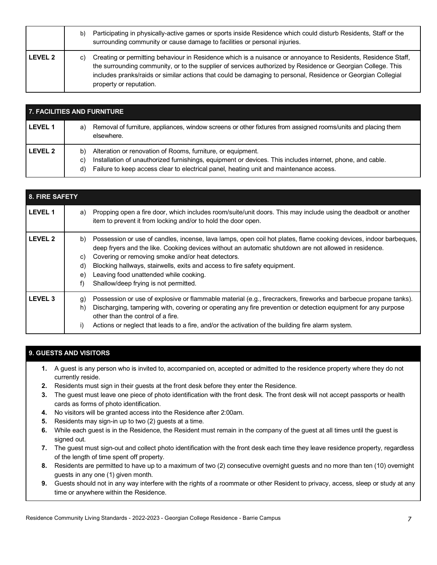|                | b) | Participating in physically-active games or sports inside Residence which could disturb Residents, Staff or the<br>surrounding community or cause damage to facilities or personal injuries.                                                                                                                                                                            |
|----------------|----|-------------------------------------------------------------------------------------------------------------------------------------------------------------------------------------------------------------------------------------------------------------------------------------------------------------------------------------------------------------------------|
| <b>LEVEL 2</b> | C) | Creating or permitting behaviour in Residence which is a nuisance or annoyance to Residents, Residence Staff,<br>the surrounding community, or to the supplier of services authorized by Residence or Georgian College. This<br>includes pranks/raids or similar actions that could be damaging to personal, Residence or Georgian Collegial<br>property or reputation. |

| <b>7. FACILITIES AND FURNITURE</b> |                                                                                                                                                                                                                                                                                      |  |  |
|------------------------------------|--------------------------------------------------------------------------------------------------------------------------------------------------------------------------------------------------------------------------------------------------------------------------------------|--|--|
| <b>LEVEL 1</b>                     | Removal of furniture, appliances, window screens or other fixtures from assigned rooms/units and placing them<br>a)<br>elsewhere.                                                                                                                                                    |  |  |
| <b>LEVEL 2</b>                     | Alteration or renovation of Rooms, furniture, or equipment.<br>b)<br>Installation of unauthorized furnishings, equipment or devices. This includes internet, phone, and cable.<br>C)<br>Failure to keep access clear to electrical panel, heating unit and maintenance access.<br>d) |  |  |

| 8. FIRE SAFETY |                                                                                                                                                                                                                                                                                                                                                                                                                                                                               |
|----------------|-------------------------------------------------------------------------------------------------------------------------------------------------------------------------------------------------------------------------------------------------------------------------------------------------------------------------------------------------------------------------------------------------------------------------------------------------------------------------------|
| <b>LEVEL 1</b> | Propping open a fire door, which includes room/suite/unit doors. This may include using the deadbolt or another<br>a)<br>item to prevent it from locking and/or to hold the door open.                                                                                                                                                                                                                                                                                        |
| <b>LEVEL 2</b> | Possession or use of candles, incense, lava lamps, open coil hot plates, flame cooking devices, indoor barbeques,<br>b)<br>deep fryers and the like. Cooking devices without an automatic shutdown are not allowed in residence.<br>Covering or removing smoke and/or heat detectors.<br>C)<br>Blocking hallways, stairwells, exits and access to fire safety equipment.<br>d)<br>Leaving food unattended while cooking.<br>e)<br>Shallow/deep frying is not permitted.<br>f) |
| <b>LEVEL 3</b> | Possession or use of explosive or flammable material (e.g., firecrackers, fireworks and barbecue propane tanks).<br>g)<br>Discharging, tampering with, covering or operating any fire prevention or detection equipment for any purpose<br>h)<br>other than the control of a fire.<br>Actions or neglect that leads to a fire, and/or the activation of the building fire alarm system.<br>i)                                                                                 |

## **9. GUESTS AND VISITORS**

- **1.** A guest is any person who is invited to, accompanied on, accepted or admitted to the residence property where they do not currently reside.
- **2.** Residents must sign in their guests at the front desk before they enter the Residence.
- **3.** The guest must leave one piece of photo identification with the front desk. The front desk will not accept passports or health cards as forms of photo identification.
- **4.** No visitors will be granted access into the Residence after 2:00am.
- **5.** Residents may sign-in up to two (2) guests at a time.
- **6.** While each guest is in the Residence, the Resident must remain in the company of the guest at all times until the guest is signed out.
- **7.** The guest must sign-out and collect photo identification with the front desk each time they leave residence property, regardless of the length of time spent off property.
- **8.** Residents are permitted to have up to a maximum of two (2) consecutive overnight guests and no more than ten (10) overnight guests in any one (1) given month.
- **9.** Guests should not in any way interfere with the rights of a roommate or other Resident to privacy, access, sleep or study at any time or anywhere within the Residence.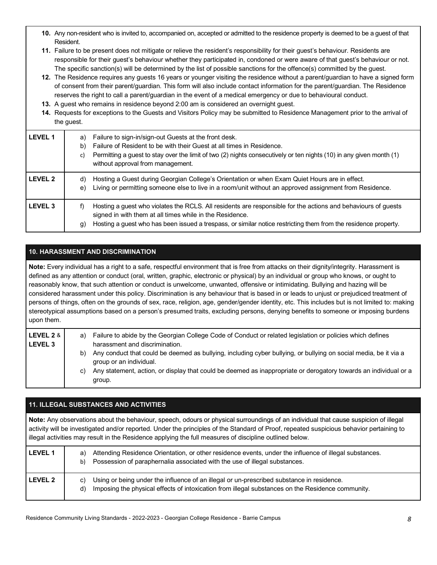- **10.** Any non-resident who is invited to, accompanied on, accepted or admitted to the residence property is deemed to be a guest of that Resident.
- **11.** Failure to be present does not mitigate or relieve the resident's responsibility for their guest's behaviour. Residents are responsible for their guest's behaviour whether they participated in, condoned or were aware of that guest's behaviour or not. The specific sanction(s) will be determined by the list of possible sanctions for the offence(s) committed by the guest.
- **12.** The Residence requires any guests 16 years or younger visiting the residence without a parent/guardian to have a signed form of consent from their parent/guardian. This form will also include contact information for the parent/guardian. The Residence reserves the right to call a parent/guardian in the event of a medical emergency or due to behavioural conduct.
- **13.** A guest who remains in residence beyond 2:00 am is considered an overnight guest.
- **14.** Requests for exceptions to the Guests and Visitors Policy may be submitted to Residence Management prior to the arrival of the guest.

| <b>LEVEL 1</b> | Failure to sign-in/sign-out Guests at the front desk.<br>a)<br>Failure of Resident to be with their Guest at all times in Residence.<br>b)<br>Permitting a guest to stay over the limit of two (2) nights consecutively or ten nights (10) in any given month (1)<br>c)<br>without approval from management. |
|----------------|--------------------------------------------------------------------------------------------------------------------------------------------------------------------------------------------------------------------------------------------------------------------------------------------------------------|
| <b>LEVEL 2</b> | Hosting a Guest during Georgian College's Orientation or when Exam Quiet Hours are in effect.<br>d)<br>Living or permitting someone else to live in a room/unit without an approved assignment from Residence.<br>e)                                                                                         |
| <b>LEVEL 3</b> | Hosting a guest who violates the RCLS. All residents are responsible for the actions and behaviours of guests<br>Ť)<br>signed in with them at all times while in the Residence.<br>Hosting a guest who has been issued a trespass, or similar notice restricting them from the residence property.<br>(g     |

## **10. HARASSMENT AND DISCRIMINATION**

 **Note:** Every individual has a right to a safe, respectful environment that is free from attacks on their dignity/integrity. Harassment is defined as any attention or conduct (oral, written, graphic, electronic or physical) by an individual or group who knows, or ought to reasonably know, that such attention or conduct is unwelcome, unwanted, offensive or intimidating. Bullying and hazing will be considered harassment under this policy. Discrimination is any behaviour that is based in or leads to unjust or prejudiced treatment of persons of things, often on the grounds of sex, race, religion, age, gender/gender identity, etc. This includes but is not limited to: making stereotypical assumptions based on a person's presumed traits, excluding persons, denying benefits to someone or imposing burdens upon them.

| LEVEL 2 &<br>l LEVEL 3 |    | a) Failure to abide by the Georgian College Code of Conduct or related legislation or policies which defines<br>harassment and discrimination. |
|------------------------|----|------------------------------------------------------------------------------------------------------------------------------------------------|
|                        | b) | Any conduct that could be deemed as bullying, including cyber bullying, or bullying on social media, be it via a<br>group or an individual.    |
|                        | C) | Any statement, action, or display that could be deemed as inappropriate or derogatory towards an individual or a<br>group.                     |

## **11. ILLEGAL SUBSTANCES AND ACTIVITIES**

 **Note:** Any observations about the behaviour, speech, odours or physical surroundings of an individual that cause suspicion of illegal activity will be investigated and/or reported. Under the principles of the Standard of Proof, repeated suspicious behavior pertaining to illegal activities may result in the Residence applying the full measures of discipline outlined below.

| LEVEL <sub>1</sub> | Attending Residence Orientation, or other residence events, under the influence of illegal substances.<br>a)<br>Possession of paraphernalia associated with the use of illegal substances.<br>b)           |
|--------------------|------------------------------------------------------------------------------------------------------------------------------------------------------------------------------------------------------------|
| LEVEL 2            | Using or being under the influence of an illegal or un-prescribed substance in residence.<br>C)<br>Imposing the physical effects of intoxication from illegal substances on the Residence community.<br>d) |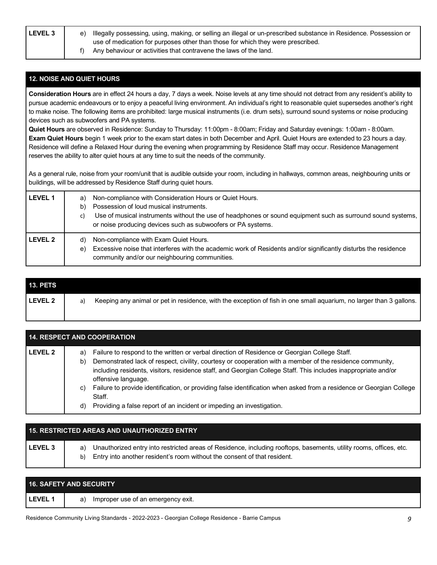**LEVEL 3** e) Illegally possessing, using, making, or selling an illegal or un-prescribed substance in Residence. Possession or use of medication for purposes other than those for which they were prescribed.

f) Any behaviour or activities that contravene the laws of the land.

## **12. NOISE AND QUIET HOURS**

 **Consideration Hours** are in effect 24 hours a day, 7 days a week. Noise levels at any time should not detract from any resident's ability to pursue academic endeavours or to enjoy a peaceful living environment. An individual's right to reasonable quiet supersedes another's right to make noise. The following items are prohibited: large musical instruments (i.e. drum sets), surround sound systems or noise producing devices such as subwoofers and PA systems.

 **Quiet Hours** are observed in Residence: Sunday to Thursday: 11:00pm - 8:00am; Friday and Saturday evenings: 1:00am - 8:00am.  **Exam Quiet Hours** begin 1 week prior to the exam start dates in both December and April. Quiet Hours are extended to 23 hours a day. Residence will define a Relaxed Hour during the evening when programming by Residence Staff may occur. Residence Management reserves the ability to alter quiet hours at any time to suit the needs of the community.

 As a general rule, noise from your room/unit that is audible outside your room, including in hallways, common areas, neighbouring units or buildings, will be addressed by Residence Staff during quiet hours.

| <b>LEVEL 1</b> | Non-compliance with Consideration Hours or Quiet Hours.<br>a)<br>Possession of loud musical instruments.<br>b)<br>Use of musical instruments without the use of headphones or sound equipment such as surround sound systems,<br>C)<br>or noise producing devices such as subwoofers or PA systems. |
|----------------|-----------------------------------------------------------------------------------------------------------------------------------------------------------------------------------------------------------------------------------------------------------------------------------------------------|
| LEVEL 2        | Non-compliance with Exam Quiet Hours.<br>d)<br>Excessive noise that interferes with the academic work of Residents and/or significantly disturbs the residence<br>e)<br>community and/or our neighbouring communities.                                                                              |

| <b>13. PETS</b> |    |                                                                                                                     |
|-----------------|----|---------------------------------------------------------------------------------------------------------------------|
| LEVEL 2         | a) | Keeping any animal or pet in residence, with the exception of fish in one small aquarium, no larger than 3 gallons. |
|                 |    |                                                                                                                     |

| <b>14. RESPECT AND COOPERATION</b> |                                                                                                                                                                                                                                                                                                                                                                 |  |
|------------------------------------|-----------------------------------------------------------------------------------------------------------------------------------------------------------------------------------------------------------------------------------------------------------------------------------------------------------------------------------------------------------------|--|
| <b>LEVEL 2</b>                     | Failure to respond to the written or verbal direction of Residence or Georgian College Staff.<br>a)<br>Demonstrated lack of respect, civility, courtesy or cooperation with a member of the residence community,<br>b)<br>including residents, visitors, residence staff, and Georgian College Staff. This includes inappropriate and/or<br>offensive language. |  |
|                                    | Failure to provide identification, or providing false identification when asked from a residence or Georgian College<br>C)<br>Staff.<br>Providing a false report of an incident or impeding an investigation.<br>d)                                                                                                                                             |  |

|                | <b>15. RESTRICTED AREAS AND UNAUTHORIZED ENTRY</b>                                                                                                                                                         |
|----------------|------------------------------------------------------------------------------------------------------------------------------------------------------------------------------------------------------------|
| <b>LEVEL 3</b> | Unauthorized entry into restricted areas of Residence, including rooftops, basements, utility rooms, offices, etc.<br>a)<br>Entry into another resident's room without the consent of that resident.<br>b) |

| <b>16. SAFETY AND SECURITY</b> |                                          |
|--------------------------------|------------------------------------------|
| <b>LEVEL</b>                   | Improper use of an emergency exit.<br>a) |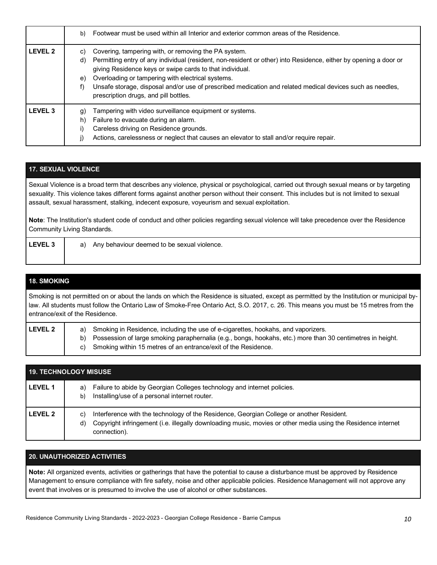|                | Footwear must be used within all Interior and exterior common areas of the Residence.<br>b)                                                                                                                                                                                                                                                                                                                                                                             |
|----------------|-------------------------------------------------------------------------------------------------------------------------------------------------------------------------------------------------------------------------------------------------------------------------------------------------------------------------------------------------------------------------------------------------------------------------------------------------------------------------|
| <b>LEVEL 2</b> | Covering, tampering with, or removing the PA system.<br>C)<br>Permitting entry of any individual (resident, non-resident or other) into Residence, either by opening a door or<br>d)<br>giving Residence keys or swipe cards to that individual.<br>Overloading or tampering with electrical systems.<br>e)<br>Unsafe storage, disposal and/or use of prescribed medication and related medical devices such as needles,<br>f)<br>prescription drugs, and pill bottles. |
| <b>LEVEL 3</b> | Tampering with video surveillance equipment or systems.<br>g)<br>Failure to evacuate during an alarm.<br>h)<br>Careless driving on Residence grounds.<br>Actions, carelessness or neglect that causes an elevator to stall and/or require repair.                                                                                                                                                                                                                       |

### **17. SEXUAL VIOLENCE**

Sexual Violence is a broad term that describes any violence, physical or psychological, carried out through sexual means or by targeting sexuality. This violence takes different forms against another person without their consent. This includes but is not limited to sexual assault, sexual harassment, stalking, indecent exposure, voyeurism and sexual exploitation.

**Note**: The Institution's student code of conduct and other policies regarding sexual violence will take precedence over the Residence Community Living Standards.

**LEVEL 3** | a) Any behaviour deemed to be sexual violence.

#### **18. SMOKING**

Smoking is not permitted on or about the lands on which the Residence is situated, except as permitted by the Institution or municipal by law. All students must follow the Ontario Law of Smoke-Free Ontario Act, S.O. 2017, c. 26. This means you must be 15 metres from the entrance/exit of the Residence.

| <b>LEVEL 2</b> | a) Smoking in Residence, including the use of e-cigarettes, hookahs, and vaporizers.                          |  |
|----------------|---------------------------------------------------------------------------------------------------------------|--|
|                | b) Possession of large smoking paraphernalia (e.g., bongs, hookahs, etc.) more than 30 centimetres in height. |  |
|                | c) Smoking within 15 metres of an entrance/exit of the Residence.                                             |  |

|                | <b>19. TECHNOLOGY MISUSE</b>                                                                                                                                                                                                         |
|----------------|--------------------------------------------------------------------------------------------------------------------------------------------------------------------------------------------------------------------------------------|
| <b>LEVEL 1</b> | Failure to abide by Georgian Colleges technology and internet policies.<br>a)<br>Installing/use of a personal internet router.<br>b)                                                                                                 |
| <b>LEVEL 2</b> | Interference with the technology of the Residence, Georgian College or another Resident.<br>C)<br>Copyright infringement (i.e. illegally downloading music, movies or other media using the Residence internet<br>d)<br>connection). |

#### **20. UNAUTHORIZED ACTIVITIES**

 **Note:** All organized events, activities or gatherings that have the potential to cause a disturbance must be approved by Residence Management to ensure compliance with fire safety, noise and other applicable policies. Residence Management will not approve any event that involves or is presumed to involve the use of alcohol or other substances.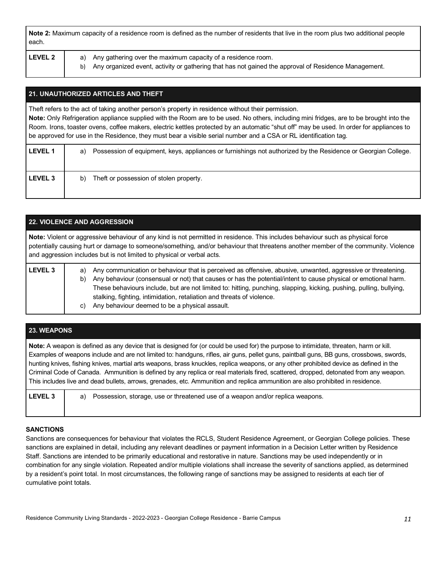| Note 2: Maximum capacity of a residence room is defined as the number of residents that live in the room plus two additional people |
|-------------------------------------------------------------------------------------------------------------------------------------|
| each.                                                                                                                               |

|--|

**LEVEL 2** a) Any gathering over the maximum capacity of a residence room.

b) Any organized event, activity or gathering that has not gained the approval of Residence Management.

## **21. UNAUTHORIZED ARTICLES AND THEFT**

Theft refers to the act of taking another person's property in residence without their permission.

 **Note:** Only Refrigeration appliance supplied with the Room are to be used. No others, including mini fridges, are to be brought into the Room. Irons, toaster ovens, coffee makers, electric kettles protected by an automatic "shut off" may be used. In order for appliances to be approved for use in the Residence, they must bear a visible serial number and a CSA or RL identification tag.

| <b>LEVEL 1</b> | Possession of equipment, keys, appliances or furnishings not authorized by the Residence or Georgian College.<br>a) |
|----------------|---------------------------------------------------------------------------------------------------------------------|
| <b>LEVEL 3</b> | Theft or possession of stolen property.<br>b)                                                                       |

| <b>22. VIOLENCE AND AGGRESSION</b>                                                                                                                                                                                                                                                                                                              |                                                                                                                                                                                                                                                                                                                                                                                                                                                                                                     |  |  |  |  |
|-------------------------------------------------------------------------------------------------------------------------------------------------------------------------------------------------------------------------------------------------------------------------------------------------------------------------------------------------|-----------------------------------------------------------------------------------------------------------------------------------------------------------------------------------------------------------------------------------------------------------------------------------------------------------------------------------------------------------------------------------------------------------------------------------------------------------------------------------------------------|--|--|--|--|
| Note: Violent or aggressive behaviour of any kind is not permitted in residence. This includes behaviour such as physical force<br>potentially causing hurt or damage to someone/something, and/or behaviour that threatens another member of the community. Violence<br>and aggression includes but is not limited to physical or verbal acts. |                                                                                                                                                                                                                                                                                                                                                                                                                                                                                                     |  |  |  |  |
| LEVEL <sub>3</sub>                                                                                                                                                                                                                                                                                                                              | Any communication or behaviour that is perceived as offensive, abusive, unwanted, aggressive or threatening.<br>a)<br>Any behaviour (consensual or not) that causes or has the potential/intent to cause physical or emotional harm.<br>b)<br>These behaviours include, but are not limited to: hitting, punching, slapping, kicking, pushing, pulling, bullying,<br>stalking, fighting, intimidation, retaliation and threats of violence.<br>Any behaviour deemed to be a physical assault.<br>C) |  |  |  |  |

#### **23. WEAPONS**

 **Note:** A weapon is defined as any device that is designed for (or could be used for) the purpose to intimidate, threaten, harm or kill. Examples of weapons include and are not limited to: handguns, rifles, air guns, pellet guns, paintball guns, BB guns, crossbows, swords, hunting knives, fishing knives, martial arts weapons, brass knuckles, replica weapons, or any other prohibited device as defined in the Criminal Code of Canada. Ammunition is defined by any replica or real materials fired, scattered, dropped, detonated from any weapon. This includes live and dead bullets, arrows, grenades, etc. Ammunition and replica ammunition are also prohibited in residence.

| <b>LEVEL 3</b> | a) Possession, storage, use or threatened use of a weapon and/or replica weapons. |
|----------------|-----------------------------------------------------------------------------------|
|                |                                                                                   |

#### **SANCTIONS**

 Sanctions are consequences for behaviour that violates the RCLS, Student Residence Agreement, or Georgian College policies. These sanctions are explained in detail, including any relevant deadlines or payment information in a Decision Letter written by Residence Staff. Sanctions are intended to be primarily educational and restorative in nature. Sanctions may be used independently or in combination for any single violation. Repeated and/or multiple violations shall increase the severity of sanctions applied, as determined by a resident's point total. In most circumstances, the following range of sanctions may be assigned to residents at each tier of cumulative point totals.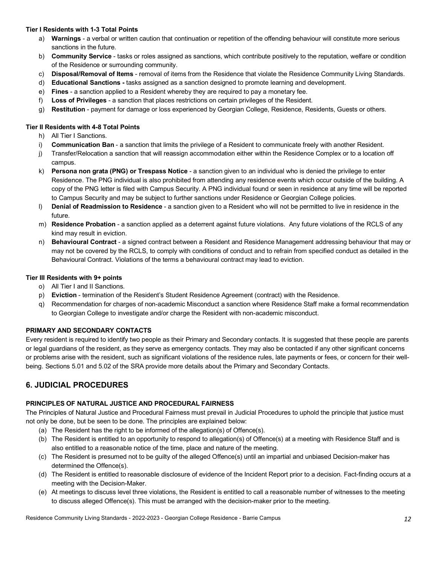#### **Tier I Residents with 1-3 Total Points**

- a) **Warnings**  a verbal or written caution that continuation or repetition of the offending behaviour will constitute more serious sanctions in the future.
- b) **Community Service**  tasks or roles assigned as sanctions, which contribute positively to the reputation, welfare or condition of the Residence or surrounding community.
- c) **Disposal/Removal of Items**  removal of items from the Residence that violate the Residence Community Living Standards.
- d) **Educational Sanctions -** tasks assigned as a sanction designed to promote learning and development.
- e) **Fines**  a sanction applied to a Resident whereby they are required to pay a monetary fee.
- f) **Loss of Privileges**  a sanction that places restrictions on certain privileges of the Resident.
- g) **Restitution**  payment for damage or loss experienced by Georgian College, Residence, Residents, Guests or others.

#### **Tier II Residents with 4-8 Total Points**

- h) All Tier I Sanctions.
- i) **Communication Ban**  a sanction that limits the privilege of a Resident to communicate freely with another Resident.
- j) Transfer/Relocation a sanction that will reassign accommodation either within the Residence Complex or to a location off campus.
- k) **Persona non grata (PNG) or Trespass Notice**  a sanction given to an individual who is denied the privilege to enter Residence. The PNG individual is also prohibited from attending any residence events which occur outside of the building. A copy of the PNG letter is filed with Campus Security. A PNG individual found or seen in residence at any time will be reported to Campus Security and may be subject to further sanctions under Residence or Georgian College policies.
- l) **Denial of Readmission to Residence**  a sanction given to a Resident who will not be permitted to live in residence in the future.
- m) **Residence Probation**  a sanction applied as a deterrent against future violations. Any future violations of the RCLS of any kind may result in eviction.
- n) **Behavioural Contract**  a signed contract between a Resident and Residence Management addressing behaviour that may or may not be covered by the RCLS, to comply with conditions of conduct and to refrain from specified conduct as detailed in the Behavioural Contract. Violations of the terms a behavioural contract may lead to eviction.

#### **Tier III Residents with 9+ points**

- o) All Tier I and II Sanctions.
- p) **Eviction**  termination of the Resident's Student Residence Agreement (contract) with the Residence.
- q) Recommendation for charges of non-academic Misconduct a sanction where Residence Staff make a formal recommendation to Georgian College to investigate and/or charge the Resident with non-academic misconduct.

## **PRIMARY AND SECONDARY CONTACTS**

 Every resident is required to identify two people as their Primary and Secondary contacts. It is suggested that these people are parents or legal guardians of the resident, as they serve as emergency contacts. They may also be contacted if any other significant concerns or problems arise with the resident, such as significant violations of the residence rules, late payments or fees, or concern for their well-being. Sections 5.01 and 5.02 of the SRA provide more details about the Primary and Secondary Contacts.

# **6. JUDICIAL PROCEDURES**

## **PRINCIPLES OF NATURAL JUSTICE AND PROCEDURAL FAIRNESS**

 The Principles of Natural Justice and Procedural Fairness must prevail in Judicial Procedures to uphold the principle that justice must not only be done, but be seen to be done. The principles are explained below:

- (a) The Resident has the right to be informed of the allegation(s) of Offence(s).
- (b) The Resident is entitled to an opportunity to respond to allegation(s) of Offence(s) at a meeting with Residence Staff and is also entitled to a reasonable notice of the time, place and nature of the meeting.
- (c) The Resident is presumed not to be guilty of the alleged Offence(s) until an impartial and unbiased Decision-maker has determined the Offence(s).
- (d) The Resident is entitled to reasonable disclosure of evidence of the Incident Report prior to a decision. Fact-finding occurs at a meeting with the Decision-Maker.
- (e) At meetings to discuss level three violations, the Resident is entitled to call a reasonable number of witnesses to the meeting to discuss alleged Offence(s). This must be arranged with the decision-maker prior to the meeting.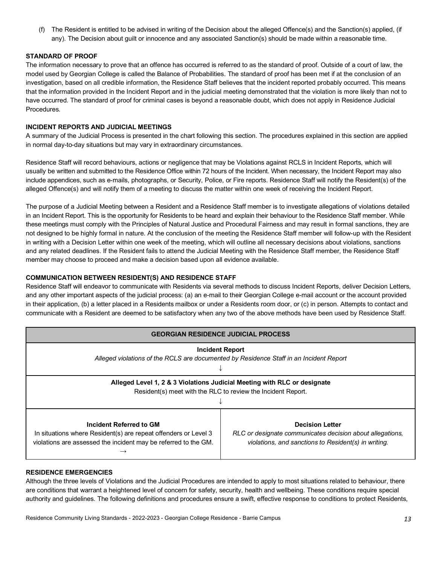(f) The Resident is entitled to be advised in writing of the Decision about the alleged Offence(s) and the Sanction(s) applied, (if any). The Decision about guilt or innocence and any associated Sanction(s) should be made within a reasonable time.

#### **STANDARD OF PROOF**

 The information necessary to prove that an offence has occurred is referred to as the standard of proof. Outside of a court of law, the model used by Georgian College is called the Balance of Probabilities. The standard of proof has been met if at the conclusion of an investigation, based on all credible information, the Residence Staff believes that the incident reported probably occurred. This means that the information provided in the Incident Report and in the judicial meeting demonstrated that the violation is more likely than not to have occurred. The standard of proof for criminal cases is beyond a reasonable doubt, which does not apply in Residence Judicial Procedures.

#### **INCIDENT REPORTS AND JUDICIAL MEETINGS**

 A summary of the Judicial Process is presented in the chart following this section. The procedures explained in this section are applied in normal day-to-day situations but may vary in extraordinary circumstances.

 Residence Staff will record behaviours, actions or negligence that may be Violations against RCLS in Incident Reports, which will usually be written and submitted to the Residence Office within 72 hours of the Incident. When necessary, the Incident Report may also include appendices, such as e-mails, photographs, or Security, Police, or Fire reports. Residence Staff will notify the Resident(s) of the alleged Offence(s) and will notify them of a meeting to discuss the matter within one week of receiving the Incident Report.

 The purpose of a Judicial Meeting between a Resident and a Residence Staff member is to investigate allegations of violations detailed in an Incident Report. This is the opportunity for Residents to be heard and explain their behaviour to the Residence Staff member. While these meetings must comply with the Principles of Natural Justice and Procedural Fairness and may result in formal sanctions, they are not designed to be highly formal in nature. At the conclusion of the meeting the Residence Staff member will follow-up with the Resident in writing with a Decision Letter within one week of the meeting, which will outline all necessary decisions about violations, sanctions and any related deadlines. If the Resident fails to attend the Judicial Meeting with the Residence Staff member, the Residence Staff member may choose to proceed and make a decision based upon all evidence available.

#### **COMMUNICATION BETWEEN RESIDENT(S) AND RESIDENCE STAFF**

 Residence Staff will endeavor to communicate with Residents via several methods to discuss Incident Reports, deliver Decision Letters, and any other important aspects of the judicial process: (a) an e-mail to their Georgian College e-mail account or the account provided in their application, (b) a letter placed in a Residents mailbox or under a Residents room door, or (c) in person. Attempts to contact and communicate with a Resident are deemed to be satisfactory when any two of the above methods have been used by Residence Staff.

| <b>GEORGIAN RESIDENCE JUDICIAL PROCESS</b>                                                                                                                    |                                                                                                                                             |  |  |  |
|---------------------------------------------------------------------------------------------------------------------------------------------------------------|---------------------------------------------------------------------------------------------------------------------------------------------|--|--|--|
| <b>Incident Report</b><br>Alleged violations of the RCLS are documented by Residence Staff in an Incident Report                                              |                                                                                                                                             |  |  |  |
| Alleged Level 1, 2 & 3 Violations Judicial Meeting with RLC or designate<br>Resident(s) meet with the RLC to review the Incident Report.                      |                                                                                                                                             |  |  |  |
| Incident Referred to GM<br>In situations where Resident(s) are repeat offenders or Level 3<br>violations are assessed the incident may be referred to the GM. | <b>Decision Letter</b><br>RLC or designate communicates decision about allegations,<br>violations, and sanctions to Resident(s) in writing. |  |  |  |

#### **RESIDENCE EMERGENCIES**

 Although the three levels of Violations and the Judicial Procedures are intended to apply to most situations related to behaviour, there are conditions that warrant a heightened level of concern for safety, security, health and wellbeing. These conditions require special authority and guidelines. The following definitions and procedures ensure a swift, effective response to conditions to protect Residents,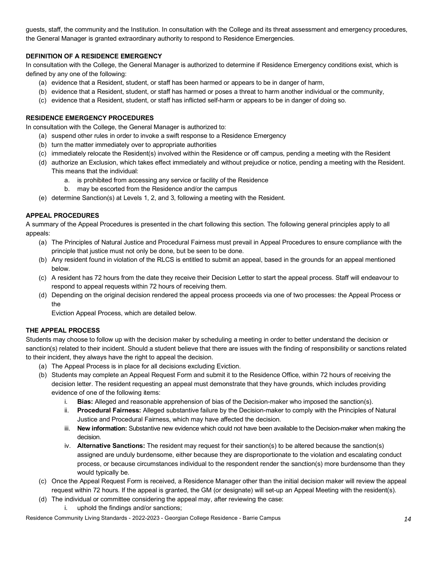guests, staff, the community and the Institution. In consultation with the College and its threat assessment and emergency procedures, the General Manager is granted extraordinary authority to respond to Residence Emergencies.

### **DEFINITION OF A RESIDENCE EMERGENCY**

 In consultation with the College, the General Manager is authorized to determine if Residence Emergency conditions exist, which is defined by any one of the following:

- (a) evidence that a Resident, student, or staff has been harmed or appears to be in danger of harm,
- (b) evidence that a Resident, student, or staff has harmed or poses a threat to harm another individual or the community,
- (c) evidence that a Resident, student, or staff has inflicted self-harm or appears to be in danger of doing so.

#### **RESIDENCE EMERGENCY PROCEDURES**

In consultation with the College, the General Manager is authorized to:

- (a) suspend other rules in order to invoke a swift response to a Residence Emergency
- (b) turn the matter immediately over to appropriate authorities
- (c) immediately relocate the Resident(s) involved within the Residence or off campus, pending a meeting with the Resident
- (d) authorize an Exclusion, which takes effect immediately and without prejudice or notice, pending a meeting with the Resident. This means that the individual:
	- a. is prohibited from accessing any service or facility of the Residence
	- b. may be escorted from the Residence and/or the campus
- (e) determine Sanction(s) at Levels 1, 2, and 3, following a meeting with the Resident.

#### **APPEAL PROCEDURES**

 A summary of the Appeal Procedures is presented in the chart following this section. The following general principles apply to all appeals:

- (a) The Principles of Natural Justice and Procedural Fairness must prevail in Appeal Procedures to ensure compliance with the principle that justice must not only be done, but be seen to be done.
- (b) Any resident found in violation of the RLCS is entitled to submit an appeal, based in the grounds for an appeal mentioned below.
- (c) A resident has 72 hours from the date they receive their Decision Letter to start the appeal process. Staff will endeavour to respond to appeal requests within 72 hours of receiving them.
- (d) Depending on the original decision rendered the appeal process proceeds via one of two processes: the Appeal Process or the

Eviction Appeal Process, which are detailed below.

#### **THE APPEAL PROCESS**

 Students may choose to follow up with the decision maker by scheduling a meeting in order to better understand the decision or sanction(s) related to their incident. Should a student believe that there are issues with the finding of responsibility or sanctions related to their incident, they always have the right to appeal the decision.

- (a) The Appeal Process is in place for all decisions excluding Eviction.
- (b) Students may complete an Appeal Request Form and submit it to the Residence Office, within 72 hours of receiving the decision letter. The resident requesting an appeal must demonstrate that they have grounds, which includes providing evidence of one of the following items:
	- i. **Bias:** Alleged and reasonable apprehension of bias of the Decision-maker who imposed the sanction(s).
	- ii. **Procedural Fairness:** Alleged substantive failure by the Decision-maker to comply with the Principles of Natural Justice and Procedural Fairness, which may have affected the decision.
	- iii. **New information:** Substantive new evidence which could not have been available to the Decision-maker when making the decision.
	- iv. **Alternative Sanctions:** The resident may request for their sanction(s) to be altered because the sanction(s) assigned are unduly burdensome, either because they are disproportionate to the violation and escalating conduct process, or because circumstances individual to the respondent render the sanction(s) more burdensome than they would typically be.
- (c) Once the Appeal Request Form is received, a Residence Manager other than the initial decision maker will review the appeal request within 72 hours. If the appeal is granted, the GM (or designate) will set-up an Appeal Meeting with the resident(s).
- (d) The individual or committee considering the appeal may, after reviewing the case:
	- i. uphold the findings and/or sanctions;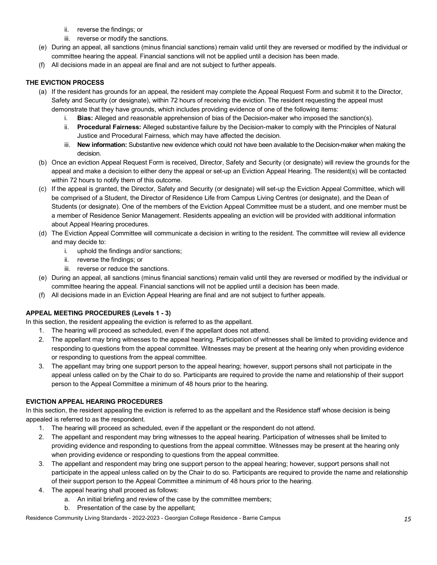- ii. reverse the findings; or
- iii. reverse or modify the sanctions.
- (e) During an appeal, all sanctions (minus financial sanctions) remain valid until they are reversed or modified by the individual or committee hearing the appeal. Financial sanctions will not be applied until a decision has been made.
- (f) All decisions made in an appeal are final and are not subject to further appeals.

### **THE EVICTION PROCESS**

- (a) If the resident has grounds for an appeal, the resident may complete the Appeal Request Form and submit it to the Director, Safety and Security (or designate), within 72 hours of receiving the eviction. The resident requesting the appeal must demonstrate that they have grounds, which includes providing evidence of one of the following items:
	- i. **Bias:** Alleged and reasonable apprehension of bias of the Decision-maker who imposed the sanction(s).
	- ii. **Procedural Fairness:** Alleged substantive failure by the Decision-maker to comply with the Principles of Natural Justice and Procedural Fairness, which may have affected the decision.
	- iii. **New information:** Substantive new evidence which could not have been available to the Decision-maker when making the decision.
- (b) Once an eviction Appeal Request Form is received, Director, Safety and Security (or designate) will review the grounds for the appeal and make a decision to either deny the appeal or set-up an Eviction Appeal Hearing. The resident(s) will be contacted within 72 hours to notify them of this outcome.
- (c) If the appeal is granted, the Director, Safety and Security (or designate) will set-up the Eviction Appeal Committee, which will be comprised of a Student, the Director of Residence Life from Campus Living Centres (or designate), and the Dean of Students (or designate). One of the members of the Eviction Appeal Committee must be a student, and one member must be a member of Residence Senior Management. Residents appealing an eviction will be provided with additional information about Appeal Hearing procedures.
- (d) The Eviction Appeal Committee will communicate a decision in writing to the resident. The committee will review all evidence and may decide to:
	- i. uphold the findings and/or sanctions;
	- ii. reverse the findings; or
	- iii. reverse or reduce the sanctions.
- (e) During an appeal, all sanctions (minus financial sanctions) remain valid until they are reversed or modified by the individual or committee hearing the appeal. Financial sanctions will not be applied until a decision has been made.
- (f) All decisions made in an Eviction Appeal Hearing are final and are not subject to further appeals.

## **APPEAL MEETING PROCEDURES (Levels 1 - 3)**

In this section, the resident appealing the eviction is referred to as the appellant.

- 1. The hearing will proceed as scheduled, even if the appellant does not attend.
- 2. The appellant may bring witnesses to the appeal hearing. Participation of witnesses shall be limited to providing evidence and responding to questions from the appeal committee. Witnesses may be present at the hearing only when providing evidence or responding to questions from the appeal committee.
- 3. The appellant may bring one support person to the appeal hearing; however, support persons shall not participate in the appeal unless called on by the Chair to do so. Participants are required to provide the name and relationship of their support person to the Appeal Committee a minimum of 48 hours prior to the hearing.

## **EVICTION APPEAL HEARING PROCEDURES**

 In this section, the resident appealing the eviction is referred to as the appellant and the Residence staff whose decision is being appealed is referred to as the respondent.

- 1. The hearing will proceed as scheduled, even if the appellant or the respondent do not attend.
- 2. The appellant and respondent may bring witnesses to the appeal hearing. Participation of witnesses shall be limited to providing evidence and responding to questions from the appeal committee. Witnesses may be present at the hearing only when providing evidence or responding to questions from the appeal committee.
- 3. The appellant and respondent may bring one support person to the appeal hearing; however, support persons shall not participate in the appeal unless called on by the Chair to do so. Participants are required to provide the name and relationship of their support person to the Appeal Committee a minimum of 48 hours prior to the hearing.
- 4. The appeal hearing shall proceed as follows:
	- a. An initial briefing and review of the case by the committee members;
	- b. Presentation of the case by the appellant;